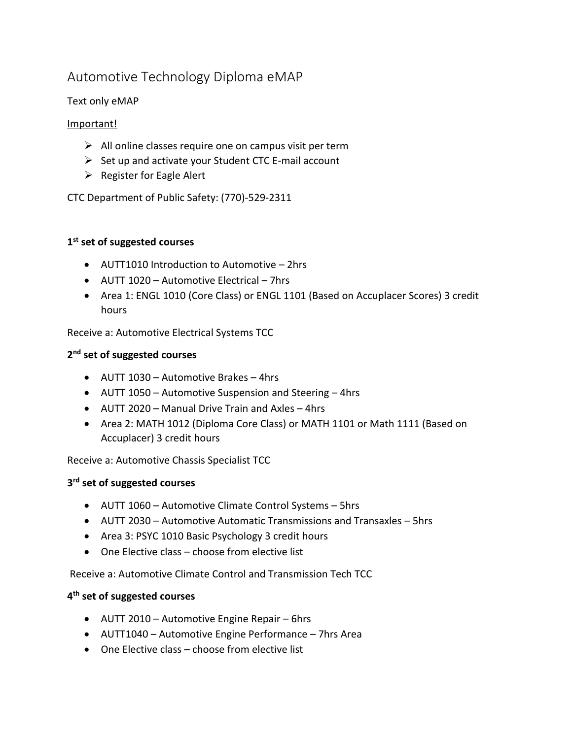# Automotive Technology Diploma eMAP

# Text only eMAP

## Important!

- $\triangleright$  All online classes require one on campus visit per term
- $\triangleright$  Set up and activate your Student CTC E-mail account
- $\triangleright$  Register for Eagle Alert

CTC Department of Public Safety: (770)-529-2311

# **1 st set of suggested courses**

- AUTT1010 Introduction to Automotive 2hrs
- AUTT 1020 Automotive Electrical 7hrs
- Area 1: ENGL 1010 (Core Class) or ENGL 1101 (Based on Accuplacer Scores) 3 credit hours

Receive a: Automotive Electrical Systems TCC

# **2 nd set of suggested courses**

- AUTT 1030 Automotive Brakes 4hrs
- AUTT 1050 Automotive Suspension and Steering 4hrs
- AUTT 2020 Manual Drive Train and Axles 4hrs
- Area 2: MATH 1012 (Diploma Core Class) or MATH 1101 or Math 1111 (Based on Accuplacer) 3 credit hours

Receive a: Automotive Chassis Specialist TCC

# **3 rd set of suggested courses**

- AUTT 1060 Automotive Climate Control Systems 5hrs
- AUTT 2030 Automotive Automatic Transmissions and Transaxles 5hrs
- Area 3: PSYC 1010 Basic Psychology 3 credit hours
- One Elective class choose from elective list

Receive a: Automotive Climate Control and Transmission Tech TCC

# **4 th set of suggested courses**

- AUTT 2010 Automotive Engine Repair 6hrs
- AUTT1040 Automotive Engine Performance 7hrs Area
- One Elective class choose from elective list